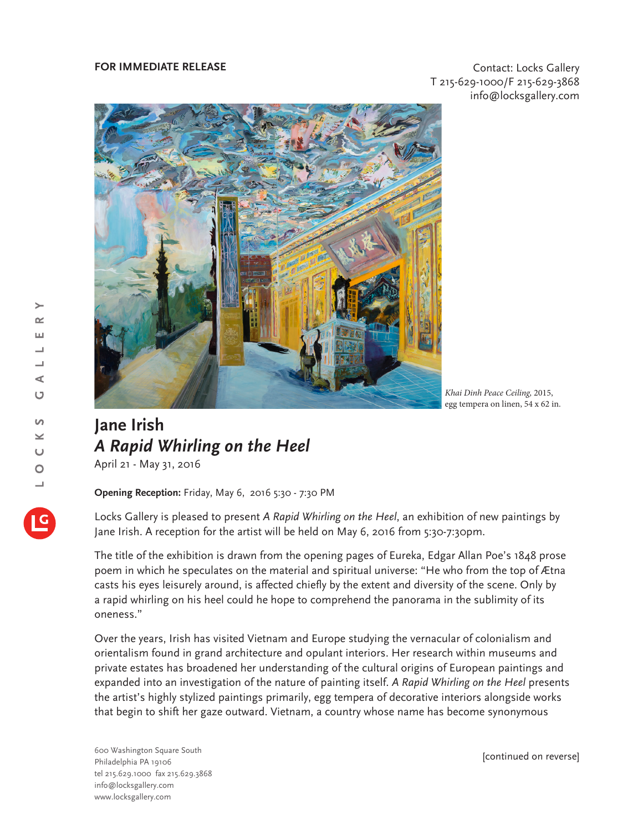## **FOR IMMEDIATE RELEASE CONTACT EXECUTES CONTACT CONTACT CONTACT CONTACT CONTACT** T 215-629-1000/F 215-629-3868 info@locksgallery.com



*Khai Dinh Peace Ceiling,* 2015, egg tempera on linen, 54 x 62 in.

## **Jane Irish** *A Rapid Whirling on the Heel*

April 21 - May 31, 2016

**Opening Reception:** Friday, May 6, 2016 5:30 - 7:30 PM

Locks Gallery is pleased to present *A Rapid Whirling on the Heel*, an exhibition of new paintings by Jane Irish. A reception for the artist will be held on May 6, 2016 from 5:30-7:30pm.

The title of the exhibition is drawn from the opening pages of Eureka, Edgar Allan Poe's 1848 prose poem in which he speculates on the material and spiritual universe: "He who from the top of Ætna casts his eyes leisurely around, is affected chiefly by the extent and diversity of the scene. Only by a rapid whirling on his heel could he hope to comprehend the panorama in the sublimity of its oneness."

Over the years, Irish has visited Vietnam and Europe studying the vernacular of colonialism and orientalism found in grand architecture and opulant interiors. Her research within museums and private estates has broadened her understanding of the cultural origins of European paintings and expanded into an investigation of the nature of painting itself. *A Rapid Whirling on the Heel* presents the artist's highly stylized paintings primarily, egg tempera of decorative interiors alongside works that begin to shift her gaze outward. Vietnam, a country whose name has become synonymous

600 Washington Square South Philadelphia PA 19106 tel 215.629.1000 fax 215.629.3868 info@locksgallery.com www.locksgallery.com

[continued on reverse]